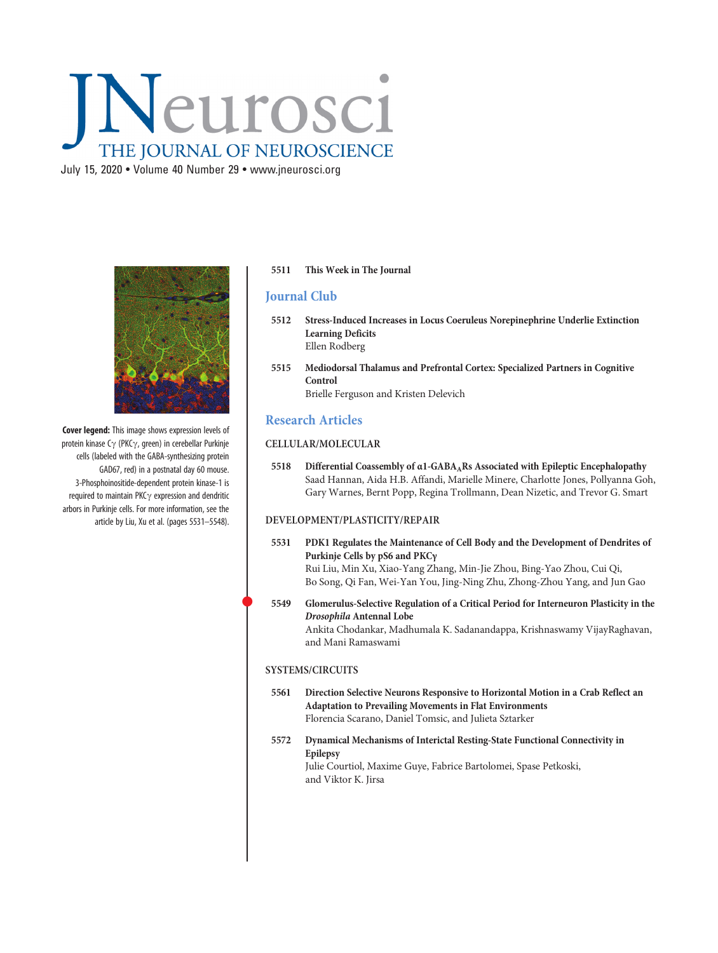# INeurosci THE JOURNAL OF NEUROSCIENCE

July 15, 2020 • Volume 40 Number 29 • www.jneurosci.org



Cover legend: This image shows expression levels of protein kinase C $\gamma$  (PKC $\gamma$ , green) in cerebellar Purkinje cells (labeled with the GABA-synthesizing protein GAD67, red) in a postnatal day 60 mouse. 3-Phosphoinositide-dependent protein kinase-1 is required to maintain PKC $\gamma$  expression and dendritic arbors in Purkinje cells. For more information, see the article by Liu, Xu et al. (pages 5531–5548).

## 5511 This Week in The Journal

## Journal Club

- 5512 Stress-Induced Increases in Locus Coeruleus Norepinephrine Underlie Extinction Learning Deficits Ellen Rodberg
- 5515 Mediodorsal Thalamus and Prefrontal Cortex: Specialized Partners in Cognitive Control Brielle Ferguson and Kristen Delevich

## Research Articles

### CELLULAR/MOLECULAR

5518 Differential Coassembly of α1-GABAARs Associated with Epileptic Encephalopathy Saad Hannan, Aida H.B. Affandi, Marielle Minere, Charlotte Jones, Pollyanna Goh, Gary Warnes, Bernt Popp, Regina Trollmann, Dean Nizetic, and Trevor G. Smart

## DEVELOPMENT/PLASTICITY/REPAIR

- 5531 PDK1 Regulates the Maintenance of Cell Body and the Development of Dendrites of Purkinje Cells by pS6 and PKCγ Rui Liu, Min Xu, Xiao-Yang Zhang, Min-Jie Zhou, Bing-Yao Zhou, Cui Qi, Bo Song, Qi Fan, Wei-Yan You, Jing-Ning Zhu, Zhong-Zhou Yang, and Jun Gao
- <sup>5549</sup> Glomerulus-Selective Regulation of a Critical Period for Interneuron Plasticity in the Drosophila Antennal Lobe Ankita Chodankar, Madhumala K. Sadanandappa, Krishnaswamy VijayRaghavan, and Mani Ramaswami

#### SYSTEMS/CIRCUITS

- 5561 Direction Selective Neurons Responsive to Horizontal Motion in a Crab Reflect an Adaptation to Prevailing Movements in Flat Environments Florencia Scarano, Daniel Tomsic, and Julieta Sztarker
- 5572 Dynamical Mechanisms of Interictal Resting-State Functional Connectivity in Epilepsy

Julie Courtiol, Maxime Guye, Fabrice Bartolomei, Spase Petkoski, and Viktor K. Jirsa